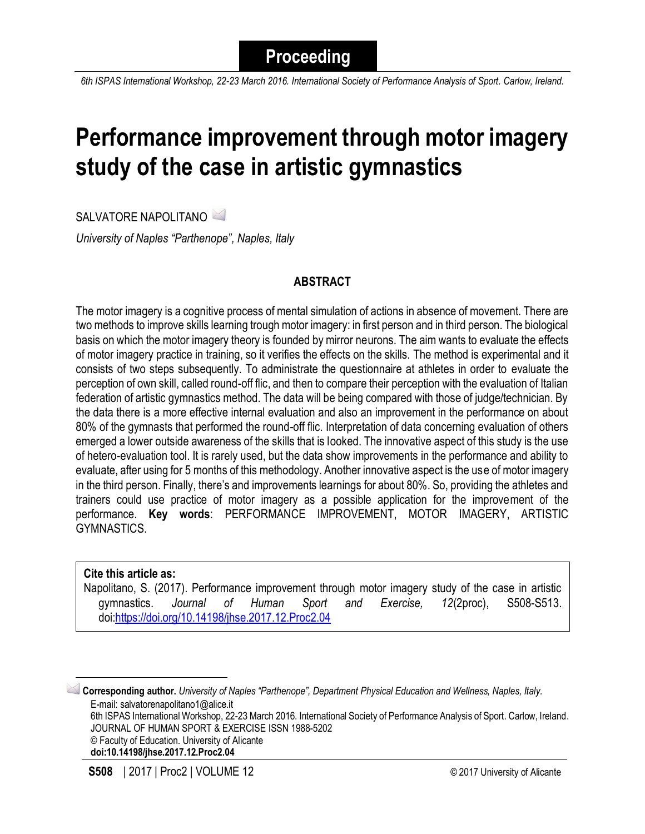*6th ISPAS International Workshop, 22-23 March 2016. International Society of Performance Analysis of Sport. Carlow, Ireland.*

# **Performance improvement through motor imagery study of the case in artistic gymnastics**

SALVATORE NAPOLITANO

*University of Naples "Parthenope", Naples, Italy*

# **ABSTRACT**

The motor imagery is a cognitive process of mental simulation of actions in absence of movement. There are two methods to improve skills learning trough motor imagery: in first person and in third person. The biological basis on which the motor imagery theory is founded by mirror neurons. The aim wants to evaluate the effects of motor imagery practice in training, so it verifies the effects on the skills. The method is experimental and it consists of two steps subsequently. To administrate the questionnaire at athletes in order to evaluate the perception of own skill, called round-off flic, and then to compare their perception with the evaluation of Italian federation of artistic gymnastics method. The data will be being compared with those of judge/technician. By the data there is a more effective internal evaluation and also an improvement in the performance on about 80% of the gymnasts that performed the round-off flic. Interpretation of data concerning evaluation of others emerged a lower outside awareness of the skills that is looked. The innovative aspect of this study is the use of hetero-evaluation tool. It is rarely used, but the data show improvements in the performance and ability to evaluate, after using for 5 months of this methodology. Another innovative aspect is the use of motor imagery in the third person. Finally, there's and improvements learnings for about 80%. So, providing the athletes and trainers could use practice of motor imagery as a possible application for the improvement of the performance. **Key words**: PERFORMANCE IMPROVEMENT, MOTOR IMAGERY, ARTISTIC GYMNASTICS.

#### **Cite this article as:**

 $\overline{\phantom{a}}$ 

Napolitano, S. (2017). Performance improvement through motor imagery study of the case in artistic gymnastics. *Journal of Human Sport and Exercise, 12*(2proc), S508-S513. doi[:https://doi.org/10.14198/jhse.2017.12.Proc2.04](https://doi.org/10.14198/jhse.2017.12.Proc2.04)

**Corresponding author.** *University of Naples "Parthenope", Department Physical Education and Wellness, Naples, Italy.* E-mail: salvatorenapolitano1@alice.it 6th ISPAS International Workshop, 22-23 March 2016. International Society of Performance Analysis of Sport. Carlow, Ireland. JOURNAL OF HUMAN SPORT & EXERCISE ISSN 1988-5202 © Faculty of Education. University of Alicante **doi:10.14198/jhse.2017.12.Proc2.04**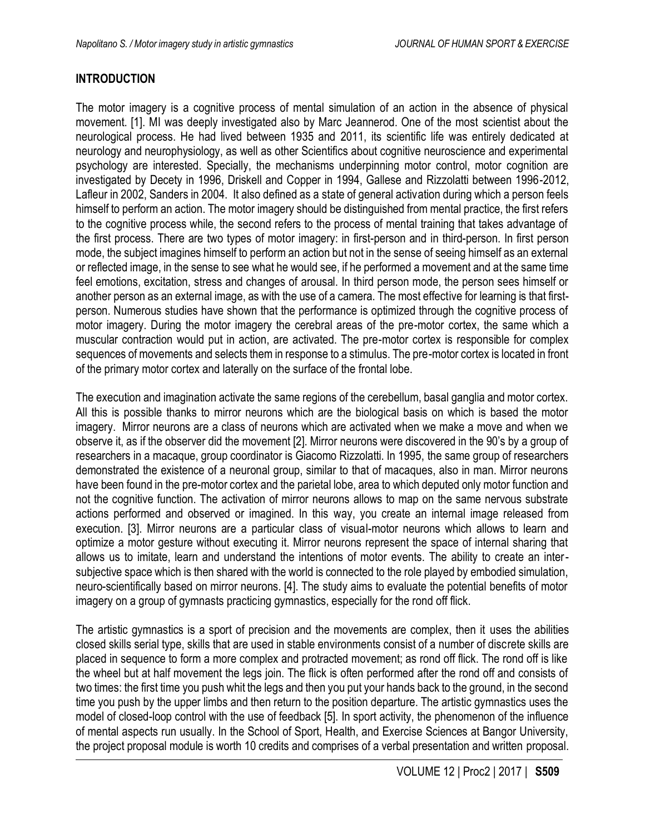## **INTRODUCTION**

The motor imagery is a cognitive process of mental simulation of an action in the absence of physical movement. [1]. MI was deeply investigated also by Marc Jeannerod. One of the most scientist about the neurological process. He had lived between 1935 and 2011, its scientific life was entirely dedicated at neurology and neurophysiology, as well as other Scientifics about cognitive neuroscience and experimental psychology are interested. Specially, the mechanisms underpinning motor control, motor cognition are investigated by Decety in 1996, Driskell and Copper in 1994, Gallese and Rizzolatti between 1996-2012, Lafleur in 2002, Sanders in 2004. It also defined as a state of general activation during which a person feels himself to perform an action. The motor imagery should be distinguished from mental practice, the first refers to the cognitive process while, the second refers to the process of mental training that takes advantage of the first process. There are two types of motor imagery: in first-person and in third-person. In first person mode, the subject imagines himself to perform an action but not in the sense of seeing himself as an external or reflected image, in the sense to see what he would see, if he performed a movement and at the same time feel emotions, excitation, stress and changes of arousal. In third person mode, the person sees himself or another person as an external image, as with the use of a camera. The most effective for learning is that firstperson. Numerous studies have shown that the performance is optimized through the cognitive process of motor imagery. During the motor imagery the cerebral areas of the pre-motor cortex, the same which a muscular contraction would put in action, are activated. The pre-motor cortex is responsible for complex sequences of movements and selects them in response to a stimulus. The pre-motor cortex is located in front of the primary motor cortex and laterally on the surface of the frontal lobe.

The execution and imagination activate the same regions of the cerebellum, basal ganglia and motor cortex. All this is possible thanks to mirror neurons which are the biological basis on which is based the motor imagery. Mirror neurons are a class of neurons which are activated when we make a move and when we observe it, as if the observer did the movement [2]. Mirror neurons were discovered in the 90's by a group of researchers in a macaque, group coordinator is Giacomo Rizzolatti. In 1995, the same group of researchers demonstrated the existence of a neuronal group, similar to that of macaques, also in man. Mirror neurons have been found in the pre-motor cortex and the parietal lobe, area to which deputed only motor function and not the cognitive function. The activation of mirror neurons allows to map on the same nervous substrate actions performed and observed or imagined. In this way, you create an internal image released from execution. [3]. Mirror neurons are a particular class of visual-motor neurons which allows to learn and optimize a motor gesture without executing it. Mirror neurons represent the space of internal sharing that allows us to imitate, learn and understand the intentions of motor events. The ability to create an intersubjective space which is then shared with the world is connected to the role played by embodied simulation, neuro-scientifically based on mirror neurons. [4]. The study aims to evaluate the potential benefits of motor imagery on a group of gymnasts practicing gymnastics, especially for the rond off flick.

The artistic gymnastics is a sport of precision and the movements are complex, then it uses the abilities closed skills serial type, skills that are used in stable environments consist of a number of discrete skills are placed in sequence to form a more complex and protracted movement; as rond off flick. The rond off is like the wheel but at half movement the legs join. The flick is often performed after the rond off and consists of two times: the first time you push whit the legs and then you put your hands back to the ground, in the second time you push by the upper limbs and then return to the position departure. The artistic gymnastics uses the model of closed-loop control with the use of feedback [5]. In sport activity, the phenomenon of the influence of mental aspects run usually. In the School of Sport, Health, and Exercise Sciences at Bangor University, the project proposal module is worth 10 credits and comprises of a verbal presentation and written proposal.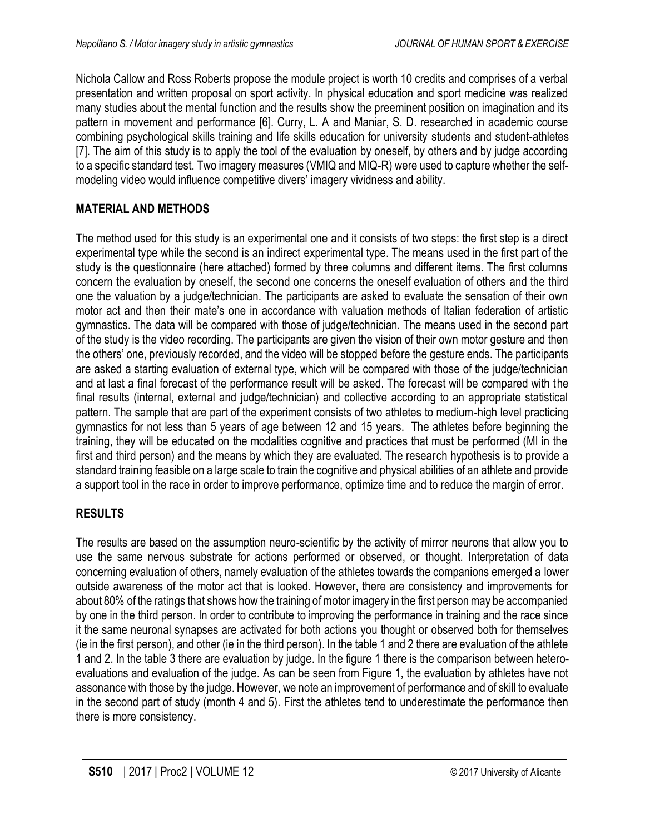Nichola Callow and Ross Roberts propose the module project is worth 10 credits and comprises of a verbal presentation and written proposal on sport activity. In physical education and sport medicine was realized many studies about the mental function and the results show the preeminent position on imagination and its pattern in movement and performance [6]. Curry, L. A and Maniar, S. D. researched in academic course combining psychological skills training and life skills education for university students and student-athletes [7]. The aim of this study is to apply the tool of the evaluation by oneself, by others and by judge according to a specific standard test. Two imagery measures (VMIQ and MIQ-R) were used to capture whether the selfmodeling video would influence competitive divers' imagery vividness and ability.

# **MATERIAL AND METHODS**

The method used for this study is an experimental one and it consists of two steps: the first step is a direct experimental type while the second is an indirect experimental type. The means used in the first part of the study is the questionnaire (here attached) formed by three columns and different items. The first columns concern the evaluation by oneself, the second one concerns the oneself evaluation of others and the third one the valuation by a judge/technician. The participants are asked to evaluate the sensation of their own motor act and then their mate's one in accordance with valuation methods of Italian federation of artistic gymnastics. The data will be compared with those of judge/technician. The means used in the second part of the study is the video recording. The participants are given the vision of their own motor gesture and then the others' one, previously recorded, and the video will be stopped before the gesture ends. The participants are asked a starting evaluation of external type, which will be compared with those of the judge/technician and at last a final forecast of the performance result will be asked. The forecast will be compared with the final results (internal, external and judge/technician) and collective according to an appropriate statistical pattern. The sample that are part of the experiment consists of two athletes to medium-high level practicing gymnastics for not less than 5 years of age between 12 and 15 years. The athletes before beginning the training, they will be educated on the modalities cognitive and practices that must be performed (MI in the first and third person) and the means by which they are evaluated. The research hypothesis is to provide a standard training feasible on a large scale to train the cognitive and physical abilities of an athlete and provide a support tool in the race in order to improve performance, optimize time and to reduce the margin of error.

# **RESULTS**

The results are based on the assumption neuro-scientific by the activity of mirror neurons that allow you to use the same nervous substrate for actions performed or observed, or thought. Interpretation of data concerning evaluation of others, namely evaluation of the athletes towards the companions emerged a lower outside awareness of the motor act that is looked. However, there are consistency and improvements for about 80% of the ratings that shows how the training of motor imagery in the first person may be accompanied by one in the third person. In order to contribute to improving the performance in training and the race since it the same neuronal synapses are activated for both actions you thought or observed both for themselves (ie in the first person), and other (ie in the third person). In the table 1 and 2 there are evaluation of the athlete 1 and 2. In the table 3 there are evaluation by judge. In the figure 1 there is the comparison between heteroevaluations and evaluation of the judge. As can be seen from Figure 1, the evaluation by athletes have not assonance with those by the judge. However, we note an improvement of performance and of skill to evaluate in the second part of study (month 4 and 5). First the athletes tend to underestimate the performance then there is more consistency.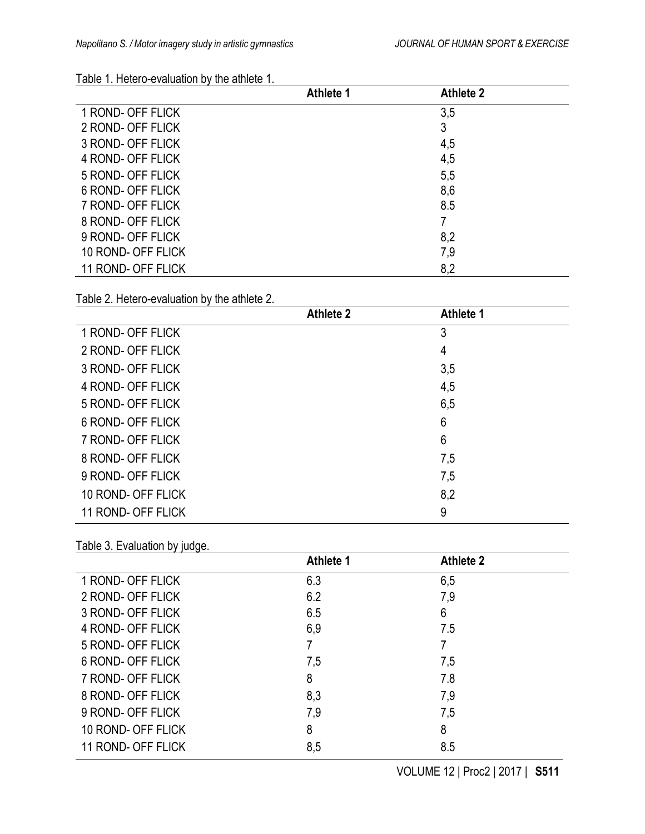# Table 1. Hetero-evaluation by the athlete 1.

|                    | Athlete 1 | <b>Athlete 2</b> |  |
|--------------------|-----------|------------------|--|
| 1 ROND- OFF FLICK  |           | 3,5              |  |
| 2 ROND- OFF FLICK  |           | 3                |  |
| 3 ROND- OFF FLICK  |           | 4,5              |  |
| 4 ROND- OFF FLICK  |           | 4,5              |  |
| 5 ROND- OFF FLICK  |           | 5,5              |  |
| 6 ROND- OFF FLICK  |           | 8,6              |  |
| 7 ROND- OFF FLICK  |           | 8.5              |  |
| 8 ROND- OFF FLICK  |           |                  |  |
| 9 ROND- OFF FLICK  |           | 8,2              |  |
| 10 ROND- OFF FLICK |           | 7,9              |  |
| 11 ROND- OFF FLICK |           | 8,2              |  |

### Table 2. Hetero-evaluation by the athlete 2.

|                    | <b>Athlete 2</b> | <b>Athlete 1</b> |  |
|--------------------|------------------|------------------|--|
| 1 ROND- OFF FLICK  |                  | 3                |  |
| 2 ROND- OFF FLICK  |                  | 4                |  |
| 3 ROND- OFF FLICK  |                  | 3,5              |  |
| 4 ROND- OFF FLICK  |                  | 4,5              |  |
| 5 ROND- OFF FLICK  |                  | 6,5              |  |
| 6 ROND- OFF FLICK  |                  | 6                |  |
| 7 ROND- OFF FLICK  |                  | 6                |  |
| 8 ROND- OFF FLICK  |                  | 7,5              |  |
| 9 ROND- OFF FLICK  |                  | 7,5              |  |
| 10 ROND- OFF FLICK |                  | 8,2              |  |
| 11 ROND- OFF FLICK |                  | 9                |  |

### Table 3. Evaluation by judge.

|                    | <b>Athlete 1</b> | <b>Athlete 2</b> |
|--------------------|------------------|------------------|
| 1 ROND- OFF FLICK  | 6.3              | 6,5              |
| 2 ROND- OFF FLICK  | 6.2              | 7,9              |
| 3 ROND- OFF FLICK  | 6.5              | 6                |
| 4 ROND- OFF FLICK  | 6,9              | 7.5              |
| 5 ROND- OFF FLICK  |                  |                  |
| 6 ROND- OFF FLICK  | 7,5              | 7,5              |
| 7 ROND- OFF FLICK  | 8                | 7.8              |
| 8 ROND- OFF FLICK  | 8,3              | 7,9              |
| 9 ROND- OFF FLICK  | 7,9              | 7,5              |
| 10 ROND- OFF FLICK | 8                | 8                |
| 11 ROND- OFF FLICK | 8,5              | 8.5              |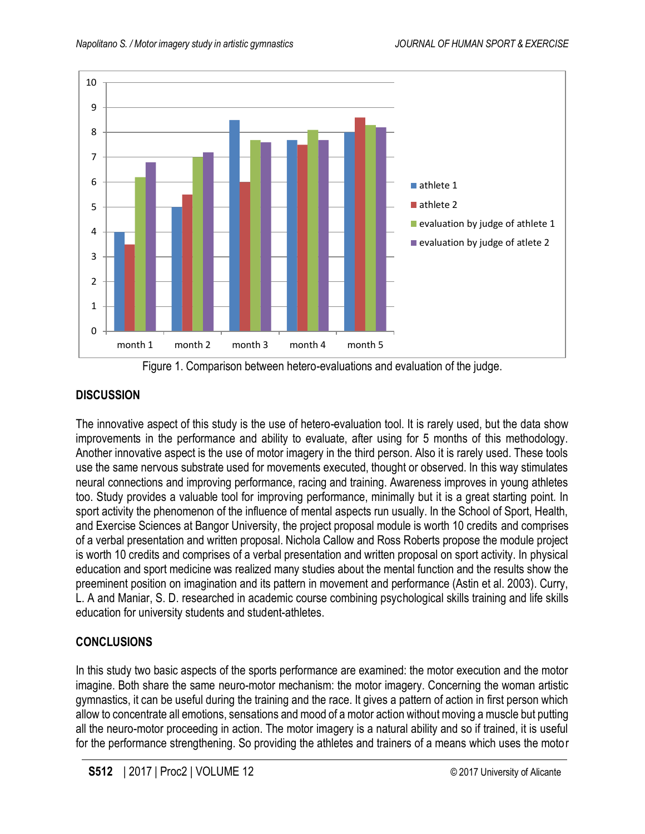

Figure 1. Comparison between hetero-evaluations and evaluation of the judge.

# **DISCUSSION**

The innovative aspect of this study is the use of hetero-evaluation tool. It is rarely used, but the data show improvements in the performance and ability to evaluate, after using for 5 months of this methodology. Another innovative aspect is the use of motor imagery in the third person. Also it is rarely used. These tools use the same nervous substrate used for movements executed, thought or observed. In this way stimulates neural connections and improving performance, racing and training. Awareness improves in young athletes too. Study provides a valuable tool for improving performance, minimally but it is a great starting point. In sport activity the phenomenon of the influence of mental aspects run usually. In the School of Sport, Health, and Exercise Sciences at Bangor University, the project proposal module is worth 10 credits and comprises of a verbal presentation and written proposal. Nichola Callow and Ross Roberts propose the module project is worth 10 credits and comprises of a verbal presentation and written proposal on sport activity. In physical education and sport medicine was realized many studies about the mental function and the results show the preeminent position on imagination and its pattern in movement and performance (Astin et al. 2003). Curry, L. A and Maniar, S. D. researched in academic course combining psychological skills training and life skills education for university students and student-athletes.

# **CONCLUSIONS**

In this study two basic aspects of the sports performance are examined: the motor execution and the motor imagine. Both share the same neuro-motor mechanism: the motor imagery. Concerning the woman artistic gymnastics, it can be useful during the training and the race. It gives a pattern of action in first person which allow to concentrate all emotions, sensations and mood of a motor action without moving a muscle but putting all the neuro-motor proceeding in action. The motor imagery is a natural ability and so if trained, it is useful for the performance strengthening. So providing the athletes and trainers of a means which uses the motor